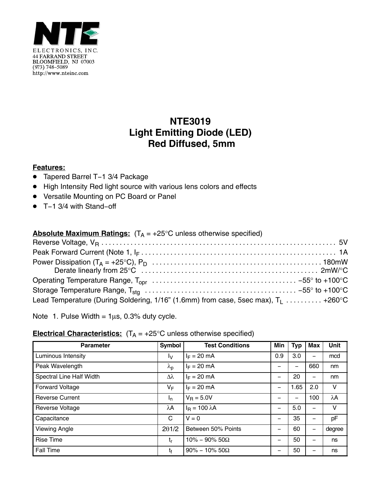

## **NTE3019 Light Emitting Diode (LED) Red Diffused, 5mm**

## **Features:**

- Tapered Barrel T−1 3/4 Package
- High Intensity Red light source with various lens colors and effects
- Versatile Mounting on PC Board or Panel
- T−1 3/4 with Stand−off

|  | <b>Absolute Maximum Ratings:</b> $(T_A = +25^{\circ}C$ unless otherwise specified) |
|--|------------------------------------------------------------------------------------|
|--|------------------------------------------------------------------------------------|

| Lead Temperature (During Soldering, 1/16" (1.6mm) from case, 5sec max), $T_1$ +260°C |  |
|--------------------------------------------------------------------------------------|--|

Note 1. Pulse Width =  $1\mu s$ , 0.3% duty cycle.

## **Electrical Characteristics:**  $(T_A = +25^\circ C$  unless otherwise specified)

| <b>Parameter</b>         | Symbol                 | <b>Test Conditions</b> | Min | <b>Typ</b> | Max | <b>Unit</b> |
|--------------------------|------------------------|------------------------|-----|------------|-----|-------------|
| Luminous Intensity       | Ιv                     | $I_F = 20$ mA          | 0.9 | 3.0        |     | mcd         |
| Peak Wavelength          | $\lambda_{\mathsf{p}}$ | $I_F = 20$ mA          |     |            | 660 | nm          |
| Spectral Line Half Width | $\Delta\lambda$        | $I_F = 20$ mA          | -   | 20         |     | nm          |
| <b>Forward Voltage</b>   | VF                     | $I_F = 20$ mA          | -   | 1.65       | 2.0 | v           |
| <b>Reverse Current</b>   | I <sub>n</sub>         | $V_R = 5.0V$           | -   |            | 100 | $\lambda$ A |
| <b>Reverse Voltage</b>   | λΑ                     | $I_R = 100 \lambda A$  | -   | 5.0        |     | V           |
| Capacitance              | C                      | $V = 0$                | -   | 35         |     | pF          |
| <b>Viewing Angle</b>     | 201/2                  | Between 50% Points     | -   | 60         |     | degree      |
| <b>Rise Time</b>         | t,                     | $10\% - 90\% 50\Omega$ | -   | 50         |     | ns          |
| <b>Fall Time</b>         | tŧ                     | $90\% - 10\% 50\Omega$ | -   | 50         |     | ns          |